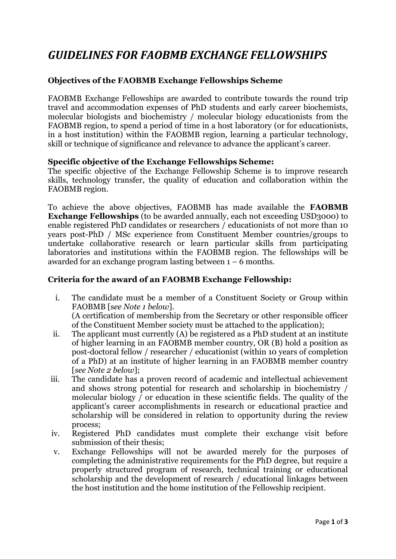# *GUIDELINES FOR FAOBMB EXCHANGE FELLOWSHIPS*

#### **Objectives of the FAOBMB Exchange Fellowships Scheme**

FAOBMB Exchange Fellowships are awarded to contribute towards the round trip travel and accommodation expenses of PhD students and early career biochemists, molecular biologists and biochemistry / molecular biology educationists from the FAOBMB region, to spend a period of time in a host laboratory (or for educationists, in a host institution) within the FAOBMB region, learning a particular technology, skill or technique of significance and relevance to advance the applicant's career.

#### **Specific objective of the Exchange Fellowships Scheme:**

The specific objective of the Exchange Fellowship Scheme is to improve research skills, technology transfer, the quality of education and collaboration within the FAOBMB region.

To achieve the above objectives, FAOBMB has made available the **FAOBMB Exchange Fellowships** (to be awarded annually, each not exceeding USD3000) to enable registered PhD candidates or researchers / educationists of not more than 10 years post-PhD / MSc experience from Constituent Member countries/groups to undertake collaborative research or learn particular skills from participating laboratories and institutions within the FAOBMB region. The fellowships will be awarded for an exchange program lasting between  $1 - 6$  months.

### **Criteria for the award of an FAOBMB Exchange Fellowship:**

- i. The candidate must be a member of a Constituent Society or Group within FAOBMB [s*ee Note 1 below*]. (A certification of membership from the Secretary or other responsible officer of the Constituent Member society must be attached to the application);
- ii. The applicant must currently (A) be registered as a PhD student at an institute of higher learning in an FAOBMB member country, OR (B) hold a position as post-doctoral fellow / researcher / educationist (within 10 years of completion of a PhD) at an institute of higher learning in an FAOBMB member country [*see Note 2 below*];
- iii. The candidate has a proven record of academic and intellectual achievement and shows strong potential for research and scholarship in biochemistry / molecular biology / or education in these scientific fields. The quality of the applicant's career accomplishments in research or educational practice and scholarship will be considered in relation to opportunity during the review process;
- iv. Registered PhD candidates must complete their exchange visit before submission of their thesis;
- v. Exchange Fellowships will not be awarded merely for the purposes of completing the administrative requirements for the PhD degree, but require a properly structured program of research, technical training or educational scholarship and the development of research / educational linkages between the host institution and the home institution of the Fellowship recipient.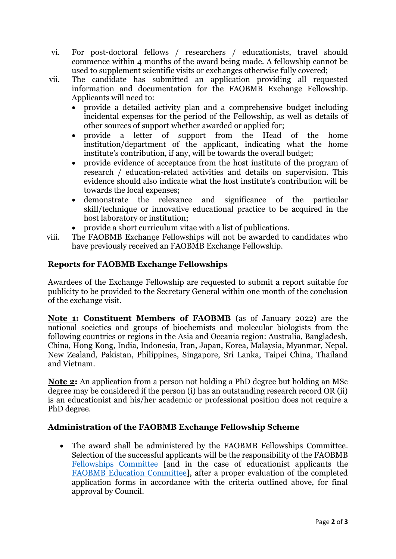- vi. For post-doctoral fellows / researchers / educationists, travel should commence within 4 months of the award being made. A fellowship cannot be used to supplement scientific visits or exchanges otherwise fully covered;
- vii. The candidate has submitted an application providing all requested information and documentation for the FAOBMB Exchange Fellowship. Applicants will need to:
	- provide a detailed activity plan and a comprehensive budget including incidental expenses for the period of the Fellowship, as well as details of other sources of support whether awarded or applied for;
	- provide a letter of support from the Head of the home institution/department of the applicant, indicating what the home institute's contribution, if any, will be towards the overall budget;
	- provide evidence of acceptance from the host institute of the program of research / education-related activities and details on supervision. This evidence should also indicate what the host institute's contribution will be towards the local expenses;
	- demonstrate the relevance and significance of the particular skill/technique or innovative educational practice to be acquired in the host laboratory or institution;
	- provide a short curriculum vitae with a list of publications.
- viii. The FAOBMB Exchange Fellowships will not be awarded to candidates who have previously received an FAOBMB Exchange Fellowship.

# **Reports for FAOBMB Exchange Fellowships**

Awardees of the Exchange Fellowship are requested to submit a report suitable for publicity to be provided to the Secretary General within one month of the conclusion of the exchange visit.

**Note 1: Constituent Members of FAOBMB** (as of January 2022) are the national societies and groups of biochemists and molecular biologists from the following countries or regions in the Asia and Oceania region: Australia, Bangladesh, China, Hong Kong, India, Indonesia, Iran, Japan, Korea, Malaysia, Myanmar, Nepal, New Zealand, Pakistan, Philippines, Singapore, Sri Lanka, Taipei China, Thailand and Vietnam.

**Note 2:** An application from a person not holding a PhD degree but holding an MSc degree may be considered if the person (i) has an outstanding research record OR (ii) is an educationist and his/her academic or professional position does not require a PhD degree.

## **Administration of the FAOBMB Exchange Fellowship Scheme**

• The award shall be administered by the FAOBMB Fellowships Committee. Selection of the successful applicants will be the responsibility of the FAOBMB [Fellowships Committee](http://faobmb.com/fellowships/faobmb-fellowships-committee/) [and in the case of educationist applicants the [FAOBMB Education Committee\]](http://faobmb.com/education-and-training/faobmb-education-committee/), after a proper evaluation of the completed application forms in accordance with the criteria outlined above, for final approval by Council.